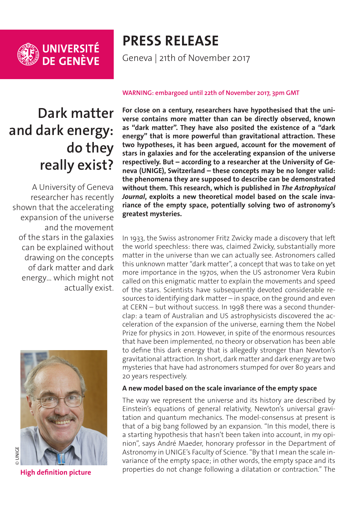

# **PRESS RELEASE**

Geneva | 21th of November 2017

## **Dark matter and dark energy: do they really exist?**

A University of Geneva researcher has recently shown that the accelerating expansion of the universe and the movement of the stars in the galaxies can be explained without drawing on the concepts of dark matter and dark energy… which might not actually exist.



#### **WARNING: embargoed until 22th of November 2017, 3pm GMT**

**For close on a century, researchers have hypothesised that the universe contains more matter than can be directly observed, known as "dark matter". They have also posited the existence of a "dark energy" that is more powerful than gravitational attraction. These two hypotheses, it has been argued, account for the movement of stars in galaxies and for the accelerating expansion of the universe respectively. But – according to a researcher at the University of Geneva (UNIGE), Switzerland – these concepts may be no longer valid: the phenomena they are supposed to describe can be demonstrated without them. This research, which is published in** *The Astrophysical Journal***, exploits a new theoretical model based on the scale invariance of the empty space, potentially solving two of astronomy's greatest mysteries.**

In 1933, the Swiss astronomer Fritz Zwicky made a discovery that left the world speechless: there was, claimed Zwicky, substantially more matter in the universe than we can actually see. Astronomers called this unknown matter "dark matter", a concept that was to take on yet more importance in the 1970s, when the US astronomer Vera Rubin called on this enigmatic matter to explain the movements and speed of the stars. Scientists have subsequently devoted considerable resources to identifying dark matter  $-$  in space, on the ground and even at CERN – but without success. In 1998 there was a second thunderclap: a team of Australian and US astrophysicists discovered the acceleration of the expansion of the universe, earning them the Nobel Prize for physics in 2011. However, in spite of the enormous resources that have been implemented, no theory or observation has been able to define this dark energy that is allegedly stronger than Newton's gravitational attraction. In short, dark matter and dark energy are two mysteries that have had astronomers stumped for over 80 years and 20 years respectively.

#### **A new model based on the scale invariance of the empty space**

The way we represent the universe and its history are described by Einstein's equations of general relativity, Newton's universal gravitation and quantum mechanics. The model-consensus at present is that of a big bang followed by an expansion. "In this model, there is a starting hypothesis that hasn't been taken into account, in my opinion", says André Maeder, honorary professor in the Department of Astronomy in UNIGE's Faculty of Science. "By that I mean the scale invariance of the empty space; in other words, the empty space and its properties do not change following a dilatation or contraction." The